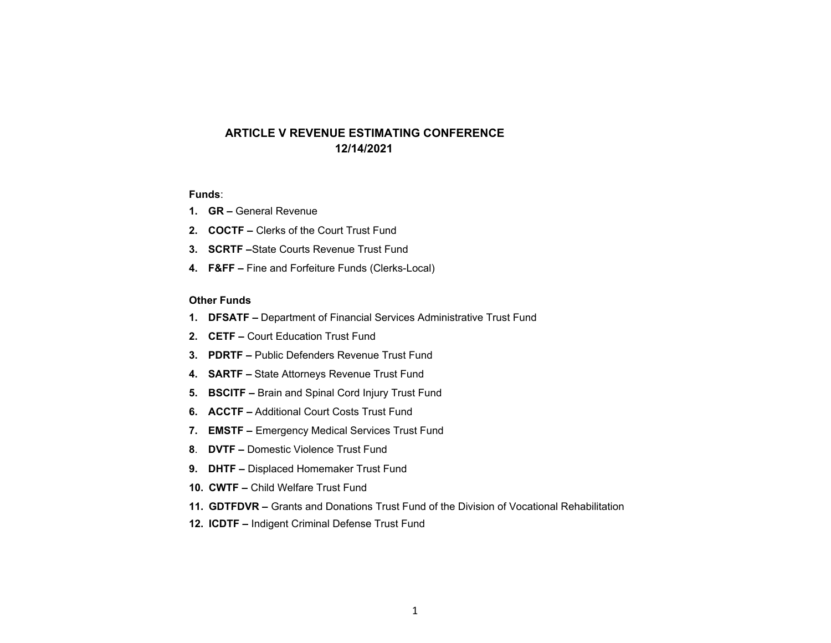# **ARTICLE V REVENUE ESTIMATING CONFERENCE12/14/2021**

## **Funds**:

- **1. GR** General Revenue
- **2. COCTF** Clerks of the Court Trust Fund
- **3. SCRTF –**State Courts Revenue Trust Fund
- **4. F&FF –** Fine and Forfeiture Funds (Clerks-Local)

## **Other Funds**

- **1. DFSATF** Department of Financial Services Administrative Trust Fund
- **2. CETF** Court Education Trust Fund
- **3. PDRTF** Public Defenders Revenue Trust Fund
- **4. SARTF** State Attorneys Revenue Trust Fund
- **5. BSCITF** Brain and Spinal Cord Injury Trust Fund
- **6. ACCTF** Additional Court Costs Trust Fund
- **7. EMSTF** Emergency Medical Services Trust Fund
- **8**. **DVTF** Domestic Violence Trust Fund
- **9. DHTF** Displaced Homemaker Trust Fund
- **10. CWTF** Child Welfare Trust Fund
- **11. GDTFDVR** Grants and Donations Trust Fund of the Division of Vocational Rehabilitation
- **12. ICDTF** Indigent Criminal Defense Trust Fund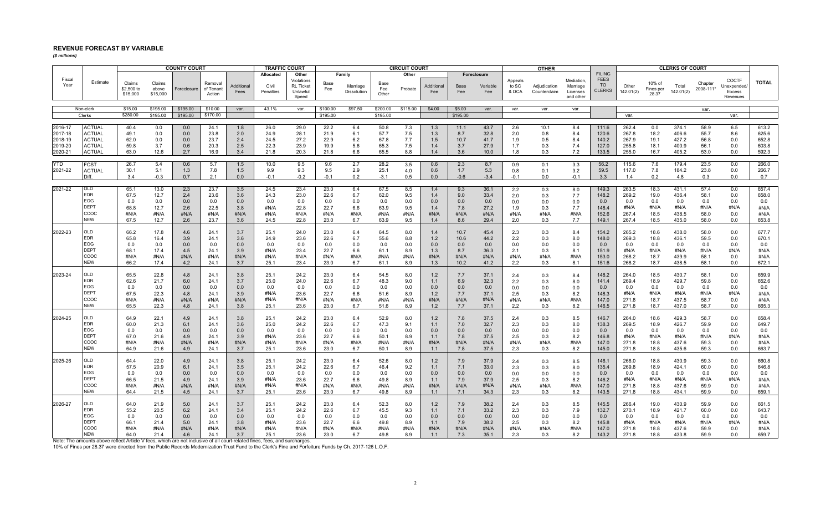## **REVENUE FORECAST BY VARIABLE**

*(\$ millions)*

|                    |                                                                                                                                                                                                                                                                                  |                                  |                             | <b>COUNTY COURT</b> |                                |                    | <b>TRAFFIC COURT</b>            |                                                              |               |                                   |                      | <b>CIRCUIT COURT</b> |                   |               |                                |                           | <b>OTHER</b>                 |                                                 |                                                            |                    |                              | <b>CLERKS OF COURT</b> |                      |                                            |                |
|--------------------|----------------------------------------------------------------------------------------------------------------------------------------------------------------------------------------------------------------------------------------------------------------------------------|----------------------------------|-----------------------------|---------------------|--------------------------------|--------------------|---------------------------------|--------------------------------------------------------------|---------------|-----------------------------------|----------------------|----------------------|-------------------|---------------|--------------------------------|---------------------------|------------------------------|-------------------------------------------------|------------------------------------------------------------|--------------------|------------------------------|------------------------|----------------------|--------------------------------------------|----------------|
| Fiscal<br>Year     | Estimate                                                                                                                                                                                                                                                                         | Claims<br>\$2,500 to<br>\$15,000 | Claims<br>above<br>\$15,000 | Foreclosure         | Removal<br>of Tenant<br>Action | Additional<br>Fees | Allocated<br>Civil<br>Penalties | Other<br>Violations<br><b>RL Ticket</b><br>Unlawful<br>Speed | Base<br>Fee   | Family<br>Marriage<br>Dissolution | Base<br>Fee<br>Other | Other<br>Probate     | Additional<br>Fee | Base<br>Fee   | Foreclosure<br>Variable<br>Fee | Appeals<br>to SC<br>& DCA | Adjudication<br>Counterclaim | Mediation.<br>Marriage<br>Licenses<br>and other | <b>FILING</b><br><b>FEES</b><br><b>TO</b><br><b>CLERKS</b> | Other<br>142.01(2) | 10% of<br>Fines per<br>28.37 | Total<br>142.01(2)     | Chapter<br>2008-111* | COCTF<br>Unexpended/<br>Excess<br>Revenues | <b>TOTAL</b>   |
|                    | Non-clerk                                                                                                                                                                                                                                                                        | \$15.00                          | \$195.00                    | \$195.00            | \$10.00                        | var.               | 43.1%                           | var.                                                         | \$100.00      | \$97.50                           | \$200.00             | \$115.00             | \$4.00            | \$5.00        | var.                           | var.                      | var.                         | var.                                            |                                                            |                    |                              |                        | var.                 |                                            |                |
|                    | Clerks                                                                                                                                                                                                                                                                           | \$280.00                         | \$195.00                    | \$195.00            | \$170.00                       |                    |                                 |                                                              | \$195.00      |                                   | \$195.00             |                      |                   | \$195.00      |                                |                           |                              |                                                 |                                                            | var.               |                              |                        |                      | var.                                       |                |
|                    |                                                                                                                                                                                                                                                                                  |                                  |                             |                     |                                |                    |                                 |                                                              |               |                                   |                      |                      |                   |               |                                |                           |                              |                                                 |                                                            |                    |                              |                        |                      |                                            |                |
| 2016-17            | <b>ACTUAL</b>                                                                                                                                                                                                                                                                    | 40.4                             | 0.0                         | 0.0                 | 24.1                           | 1.8                | 26.0                            | 29.0                                                         | 22.2          | 6.4                               | 50.8                 | 7.3                  | 1.3               | 11.1          | 43.7                           | 2.6                       | 10.1                         | 8.4                                             | 111.6                                                      | 262.4              | 0.0                          | 374.1                  | 58.9                 | 6.5                                        | 613.2          |
| 2017-18<br>2018-19 | <b>ACTUAL</b><br><b>ACTUAL</b>                                                                                                                                                                                                                                                   | 49.1<br>62.0                     | 0.0<br>0.0                  | 0.0<br>0.0          | 23.8<br>23.7                   | 2.0<br>2.4         | 24.9<br>24.5                    | 28.1<br>27.2                                                 | 21.9<br>22.9  | 6.1                               | 57.7<br>67.8         | 7.5<br>7.7           | 1.3<br>1.5        | 8.7           | 32.8<br>41.7                   | 2.0                       | 0.8<br>0.5                   | 8.4<br>8.4                                      | 120.6<br>140.2                                             | 267.8<br>267.9     | 18.2<br>19.1                 | 406.6<br>427.2         | 55.7<br>56.8         | 8.6<br>0.0                                 | 625.6<br>652.8 |
| 2019-20            | <b>ACTUAL</b>                                                                                                                                                                                                                                                                    | 59.8                             | 3.7                         | 0.6                 | 20.3                           | 2.5                | 22.3                            | 23.9                                                         | 19.9          | 6.2<br>5.6                        | 65.3                 | 7.5                  | 1.4               | 10.7<br>3.7   | 27.9                           | 1.9<br>1.7                | 0.3                          | 7.4                                             | 127.0                                                      | 255.8              | 18.1                         | 400.9                  | 56.1                 | 0.0                                        | 603.8          |
| 2020-21            | <b>ACTUAL</b>                                                                                                                                                                                                                                                                    | 63.0                             | 12.6                        | 2.7                 | 16.9                           | 3.4                | 21.8                            | 20.3                                                         | 21.8          | 6.6                               | 65.5                 | 8.8                  | 1.4               | 3.6           | 10.0                           | 1.8                       | 0.3                          | 7.2                                             | 133.5                                                      | 255.0              | 16.7                         | 405.2                  | 53.0                 | 0.0                                        | 592.3          |
|                    |                                                                                                                                                                                                                                                                                  |                                  |                             |                     |                                |                    |                                 |                                                              |               |                                   |                      |                      |                   |               |                                |                           |                              |                                                 |                                                            |                    |                              |                        |                      |                                            |                |
| YTD                | FCST                                                                                                                                                                                                                                                                             | 26.7                             | 5.4                         | 0.6                 | 5.7                            | 1.5                | 10.0                            | 9.5                                                          | 9.6           | 2.7                               | 28.2                 | 3.5                  | 0.6               | 2.3           | 8.7                            | 0.9                       | 0.1                          | 3.3                                             | 56.2                                                       | 115.6              | 7.6                          | 179.4                  | 23.5                 | 0.0                                        | 266.0          |
| 2021-22            | ACTUAL<br>Diff.                                                                                                                                                                                                                                                                  | 30.1<br>3.4                      | 5.1<br>$-0.3$               | 1.3<br>0.7          | 7.8<br>2.1                     | 1.5<br>0.0         | 9.9<br>$-0.1$                   | 9.3<br>$-0.2$                                                | 9.5<br>$-0.1$ | 2.9<br>0.2                        | 25.1<br>$-3.1$       | 4.0<br>0.5           | 0.6<br>0.0        | 1.7<br>$-0.6$ | 5.3<br>$-3.4$                  | 0.8<br>$-0.1$             | 0.1<br>0.0                   | 3.2<br>$-0.1$                                   | 59.5<br>3.3                                                | 117.0<br>1.4       | 7.8<br>0.2                   | 184.2<br>4.8           | 23.8<br>0.3          | 0.0<br>0.0                                 | 266.7<br>0.7   |
|                    |                                                                                                                                                                                                                                                                                  |                                  |                             |                     |                                |                    |                                 |                                                              |               |                                   |                      |                      |                   |               |                                |                           |                              |                                                 |                                                            |                    |                              |                        |                      |                                            |                |
| 2021-22            | OLD                                                                                                                                                                                                                                                                              | 65.1                             | 13.0                        | 2.3                 | 23.7                           | 3.5                | 24.5                            | 23.4                                                         | 23.0          | 6.4                               | 67.5                 | 8.5                  | 1.4               | 9.3           | 36.1                           | 2.2                       | 0.3                          | 8.0                                             | 149.3                                                      | 263.5              | 18.3                         | 431.1                  | 57.4                 | 0.0                                        | 657.4          |
|                    | EDR                                                                                                                                                                                                                                                                              | 67.5                             | 12.7                        | 2.4                 | 23.6                           | 3.6                | 24.3                            | 23.0                                                         | 22.6          | 6.7                               | 62.0                 | 9.5                  | 1.4               | 9.0           | 33.4                           | 2.0                       | 0.3                          | 7.7                                             | 148.2                                                      | 269.2              | 19.0                         | 436.4                  | 58.1                 | 0.0                                        | 658.0          |
|                    | EOG<br><b>DEPT</b>                                                                                                                                                                                                                                                               | 0.0<br>68.8                      | 0.0<br>12.7                 | 0.0<br>2.6          | 0.0<br>22.5                    | 0.0<br>3.8         | 0.0<br>#N/A                     | 0.0<br>22.8                                                  | 0.0<br>22.7   | 0.0<br>6.6                        | 0.0<br>63.9          | 0.0<br>9.5           | 0.0<br>1.4        | 0.0<br>7.8    | 0.0<br>27.2                    | 0.0<br>1.9                | 0.0<br>0.3                   | 0.0<br>7.7                                      | 0.0<br>148.4                                               | 0.0<br>#N/A        | 0.0<br>#N/A                  | 0.0<br>#N/A            | 0.0<br>#N/A          | 0.0<br>#N/A                                | 0.0<br>#N/A    |
|                    | ccoc                                                                                                                                                                                                                                                                             | #N/A                             | #N/A                        | #N/A                | #N/A                           | #N/A               | #N/A                            | #N/A                                                         | #N/A          | #N/A                              | #N/A                 | #N/A                 | #N/A              | #N/A          | #N/A                           | #N/A                      | #N/A                         | #N/A                                            | 152.6                                                      | 267.4              | 18.5                         | 438.5                  | 58.0                 | 0.0                                        | #N/A           |
|                    | NEW                                                                                                                                                                                                                                                                              | 67.5                             | 12.7                        | 2.6                 | 23.7                           | 3.6                | 24.5                            | 22.8                                                         | 23.0          | 6.7                               | 63.9                 | 9.5                  | 1.4               | 8.6           | 29.4                           | 2.0                       | 0.3                          | 7.7                                             | 149.1                                                      | 267.4              | 18.5                         | 435.0                  | 58.0                 | 0.0                                        | 653.8          |
|                    |                                                                                                                                                                                                                                                                                  |                                  |                             |                     |                                |                    |                                 |                                                              |               |                                   |                      |                      |                   |               |                                |                           |                              |                                                 |                                                            |                    |                              |                        |                      |                                            |                |
| 2022-23            | OLD<br><b>EDR</b>                                                                                                                                                                                                                                                                | 66.2                             | 17.8                        | 4.6                 | 24.1                           | 3.7                | 25.1                            | 24.0                                                         | 23.0          | 6.4                               | 64.5                 | 8.0                  | 1.4               | 10.7          | 45.4                           | 2.3                       | 0.3                          | 8.4                                             | 154.2                                                      | 265.2              | 18.6                         | 438.0                  | 58.0                 | 0.0                                        | 677.7          |
|                    | EOG                                                                                                                                                                                                                                                                              | 65.8<br>0.0                      | 16.4<br>0.0                 | 3.9<br>0.0          | 24.1<br>0.0                    | 3.6<br>0.0         | 24.9<br>0.0                     | 23.6<br>0.0                                                  | 22.6<br>0.0   | 6.7<br>0.0                        | 55.6<br>0.0          | 8.8<br>0.0           | 1.2<br>0.0        | 10.6<br>0.0   | 44.2<br>0.0                    | 2.2<br>0.0                | 0.3<br>0.0                   | 8.0<br>0.0                                      | 148.0<br>0.0                                               | 269.3<br>0.0       | 18.8<br>0.0                  | 436.1<br>0.0           | 59.5<br>0.0          | 0.0<br>0.0                                 | 670.1<br>0.0   |
|                    | <b>DEPT</b>                                                                                                                                                                                                                                                                      | 68.1                             | 17.4                        | 4.5                 | 24.1                           | 3.9                | #N/A                            | 23.4                                                         | 22.7          | 6.6                               | 61.1                 | 8.9                  | 1.3               | 8.7           | 36.3                           | 2.1                       | 0.3                          | 8.1                                             | 151.9                                                      | #N/A               | #N/A                         | #N/A                   | #N/A                 | #N/A                                       | #N/A           |
|                    | ccoc                                                                                                                                                                                                                                                                             | #N/A                             | #N/A                        | #N/A                | #N/A                           | #N/A               | #N/A                            | #N/A                                                         | #N/A          | #N/A                              | #N/A                 | #N/A                 | #N/A              | #N/A          | #N/A                           | #N/A                      | #N/A                         | #N/A                                            | 153.0                                                      | 268.2              | 18.7                         | 439.9                  | 58.1                 | 0.0                                        | #N/A           |
|                    | <b>NEW</b>                                                                                                                                                                                                                                                                       | 66.2                             | 17.4                        | 4.2                 | 24.1                           | 3.7                | 25.1                            | 23.4                                                         | 23.0          | 6.7                               | 61.1                 | 8.9                  | 1.3               | 10.2          | 41.2                           | 2.2                       | 0.3                          | 8.1                                             | 151.6                                                      | 268.2              | 18.7                         | 438.5                  | 58.1                 | 0.0                                        | 672.1          |
|                    | OLD                                                                                                                                                                                                                                                                              |                                  |                             |                     |                                |                    |                                 |                                                              |               |                                   |                      |                      |                   |               |                                |                           |                              |                                                 |                                                            |                    |                              |                        |                      |                                            |                |
| 2023-24            | <b>EDR</b>                                                                                                                                                                                                                                                                       | 65.5<br>62.6                     | 22.8<br>21.7                | 4.8<br>6.0          | 24.1<br>24.1                   | 3.8<br>3.7         | 25.1<br>25.0                    | 24.2<br>24.0                                                 | 23.0<br>22.6  | 6.4<br>6.7                        | 54.5<br>48.3         | 8.0<br>9.0           | 1.2<br>1.1        | 7.7<br>6.9    | 37.1<br>32.3                   | 2.4<br>2.2                | 0.3<br>0.3                   | 8.4<br>8.0                                      | 148.2<br>141.4                                             | 264.0<br>269.4     | 18.5<br>18.9                 | 430.7<br>429.7         | 58.1<br>59.8         | 0.0<br>0.0                                 | 659.9<br>652.6 |
|                    | EOG                                                                                                                                                                                                                                                                              | 0.0                              | 0.0                         | 0.0                 | 0.0                            | 0.0                | 0.0                             | 0.0                                                          | 0.0           | 0.0                               | 0.0                  | 0.0                  | 0.0               | 0.0           | 0.0                            | 0.0                       | 0.0                          | 0.0                                             | 0.0                                                        | 0.0                | 0.0                          | 0.0                    | 0.0                  | 0.0                                        | 0.0            |
|                    | DEPT                                                                                                                                                                                                                                                                             | 67.5                             | 22.3                        | 4.8                 | 24.1                           | 3.9                | #N/A                            | 23.6                                                         | 22.7          | 6.6                               | 51.6                 | 8.9                  | 1.2               | 7.7           | 37.1                           | 2.5                       | 0.3                          | 8.2                                             | 148.3                                                      | #N/A               | #N/A                         | #N/A                   | #N/A                 | #N/A                                       | #N/A           |
|                    | ссос                                                                                                                                                                                                                                                                             | #N/A                             | #N/A                        | #N/A                | #N/A                           | #N/A               | #N/A                            | #N/A                                                         | #N/A          | #N/A                              | #N/A                 | #N/A                 | #N/A              | #N/A          | #N/A                           | #N/A                      | #N/A                         | #N/A                                            | 147.0                                                      | 271.8              | 18.7                         | 437.5                  | 58.7                 | 0.0                                        | #N/A           |
|                    | <b>NEW</b>                                                                                                                                                                                                                                                                       | 65.5                             | 22.3                        | 4.8                 | 24.1                           | 3.8                | 25.1                            | 23.6                                                         | 23.0          | 6.7                               | 51.6                 | 8.9                  | 1.2               | 7.7           | 37.1                           | 2.2                       | 0.3                          | 8.2                                             | 146.5                                                      | 271.8              | 18.7                         | 437.0                  | 58.7                 | 0.0                                        | 665.3          |
| 2024-25            | OLD                                                                                                                                                                                                                                                                              | 64.9                             | 22.1                        | 4.9                 | 24.1                           | 3.8                | 25.1                            | 24.2                                                         | 23.0          | 6.4                               | 52.9                 | 8.0                  | 1.2               | 7.8           | 37.5                           | 2.4                       | 0.3                          | 8.5                                             | 146.7                                                      | 264.0              | 18.6                         | 429.3                  | 58.7                 | 0.0                                        | 658.4          |
|                    | EDR                                                                                                                                                                                                                                                                              | 60.0                             | 21.3                        | 6.1                 | 24.1                           | 3.6                | 25.0                            | 24.2                                                         | 22.6          | 6.7                               | 47.3                 | 9.1                  | 1.1               | 7.0           | 32.7                           | 2.3                       | 0.3                          | 8.0                                             | 138.3                                                      | 269.5              | 18.9                         | 426.7                  | 59.9                 | 0.0                                        | 649.7          |
|                    | EOG                                                                                                                                                                                                                                                                              | 0.0                              | 0.0                         | 0.0                 | 0.0                            | 0.0                | 0.0                             | 0.0                                                          | 0.0           | 0.0                               | 0.0                  | 0.0                  | 0.0               | 0.0           | 0.0                            | 0.0                       | 0.0                          | 0.0                                             | 0.0                                                        | 0.0                | 0.0                          | 0.0                    | 0.0                  | 0.0                                        | 0.0            |
|                    | <b>DEPT</b><br>ccoc                                                                                                                                                                                                                                                              | 67.0                             | 21.6                        | 4.9                 | 24.1                           | 3.9                | #N/A                            | 23.6                                                         | 22.7          | 6.6                               | 50.1                 | 8.9                  | 1.1               | 7.8           | 37.5                           | 2.5                       | 0.3                          | 8.2                                             | 146.8                                                      | #N/A               | #N/A                         | #N/A                   | #N/A                 | #N/A                                       | #N/A           |
|                    | <b>NEW</b>                                                                                                                                                                                                                                                                       | #N/A<br>64.9                     | #N/A<br>21.6                | #N/A<br>4.9         | #N/A<br>24.1                   | #N/A<br>3.7        | #N/A<br>25.1                    | #N/A<br>23.6                                                 | #N/A<br>23.0  | #N/A<br>6.7                       | #N/A<br>50.1         | #N/A<br>8.9          | #N/A<br>1.1       | #N/A<br>7.8   | #N/A<br>37.5                   | #N/A<br>2.3               | #N/A<br>0.3                  | #N/A<br>8.2                                     | 147.0<br>145.0                                             | 271.8<br>271.8     | 18.8<br>18.8                 | 437.6<br>435.6         | 59.3<br>59.3         | 0.0<br>0.0                                 | #N/A<br>663.7  |
|                    |                                                                                                                                                                                                                                                                                  |                                  |                             |                     |                                |                    |                                 |                                                              |               |                                   |                      |                      |                   |               |                                |                           |                              |                                                 |                                                            |                    |                              |                        |                      |                                            |                |
| 2025-26            | OLD                                                                                                                                                                                                                                                                              | 64.4                             | 22.0                        | 4.9                 | 24.1                           | 3.8                | 25.1                            | 24.2                                                         | 23.0          | 6.4                               | 52.6                 | 8.0                  | 1.2               | 7.9           | 37.9                           | 2.4                       | 0.3                          | 8.5                                             | 146.1                                                      | 266.0              | 18.8                         | 430.9                  | 59.3                 | 0.0                                        | 660.8          |
|                    | EDR                                                                                                                                                                                                                                                                              | 57.5                             | 20.9                        | 6.1                 | 24.1                           | 3.5                | 25.1                            | 24.2                                                         | 22.6          | 6.7                               | 46.4                 | 9.2                  | 1.1               | 7.1           | 33.0                           | 2.3                       | 0.3                          | 8.0                                             | 135.4                                                      | 269.8              | 18.9                         | 424.1                  | 60.0                 | 0.0                                        | 646.8          |
|                    | EOG<br>DEPT                                                                                                                                                                                                                                                                      | 0.0                              | 0.0                         | 0.0                 | 0.0                            | 0.0                | 0.0                             | 0.0                                                          | 0.0           | 0.0                               | 0.0                  | 0.0                  | 0.0               | 0.0           | 0.0                            | 0.0                       | 0.0                          | 0.0                                             | 0.0                                                        | 0.0                | 0.0                          | 0.0                    | 0.0                  | 0.0                                        | 0.0            |
|                    | ccoc                                                                                                                                                                                                                                                                             | 66.5<br>#N/A                     | 21.5<br>#N/A                | 4.9<br>#N/A         | 24.1<br>#N/A                   | 3.9<br>#N/A        | #N/A<br>#N/A                    | 23.6<br>#N/A                                                 | 22.7<br>#N/A  | 6.6<br>#N/A                       | 49.8<br>#N/A         | 8.9<br>#N/A          | 1.1<br>#N/A       | 7.9<br>#N/A   | 37.9<br>#N/A                   | 2.5<br>#N/A               | 0.3<br>#N/A                  | 8.2<br>#N/A                                     | 146.2<br>147.0                                             | #N/A<br>271.8      | #N/A<br>18.8                 | #N/A<br>437.6          | #N/A<br>59.9         | #N/A<br>0.0                                | #N/A<br>#N/A   |
|                    | NEW                                                                                                                                                                                                                                                                              | 64.4                             | 21.5                        | 4.5                 | 24.1                           | 3.7                | 25.1                            | 23.6                                                         | 23.0          | 6.7                               | 49.8                 | 8.9                  | 1.1               | 7.1           | 34.3                           | 2.3                       | 0.3                          | 8.2                                             | 143.5                                                      | 271.8              | 18.8                         | 434.1                  | 59.9                 | 0.0                                        | 659.1          |
|                    |                                                                                                                                                                                                                                                                                  |                                  |                             |                     |                                |                    |                                 |                                                              |               |                                   |                      |                      |                   |               |                                |                           |                              |                                                 |                                                            |                    |                              |                        |                      |                                            |                |
| 2026-27            | OLD                                                                                                                                                                                                                                                                              | 64.0                             | 21.9                        | 5.0                 | 24.1                           | 3.7                | 25.1                            | 24.2                                                         | 23.0          | 6.4                               | 52.3                 | 8.0                  | 1.2               | 7.9           | 38.2                           | 2.4                       | 0.3                          | 8.5                                             | 145.5                                                      | 266.4              | 19.0                         | 430.9                  | 59.9                 | 0.0                                        | 661.5          |
|                    | <b>EDR</b><br>EOG                                                                                                                                                                                                                                                                | 55.2<br>0.0                      | 20.5<br>0.0                 | 6.2                 | 24.1                           | 3.4                | 25.1<br>0.0                     | 24.2<br>0.0                                                  | 22.6          | 6.7<br>0.0                        | 45.5                 | 9.3<br>0.0           | 1.1<br>0.0        | 7.1<br>0.0    | 33.2<br>0.0                    | 2.3                       | 0.3                          | 7.9                                             | 132.7                                                      | 270.1<br>0.0       | 18.9                         | 421.7                  | 60.0                 | 0.0<br>0.0                                 | 643.7          |
|                    | <b>DEPT</b>                                                                                                                                                                                                                                                                      | 66.1                             | 21.4                        | 0.0<br>5.0          | 0.0<br>24.1                    | 0.0<br>3.8         | #N/A                            | 23.6                                                         | 0.0<br>22.7   | 6.6                               | 0.0<br>49.8          | 8.9                  | 1.1               | 7.9           | 38.2                           | 0.0<br>2.5                | 0.0<br>0.3                   | 0.0<br>8.2                                      | 0.0<br>145.8                                               | #N/A               | 0.0<br>#N/A                  | 0.0<br>#N/A            | 0.0<br>#N/A          | #N/A                                       | 0.0<br>#N/A    |
|                    | $_{\rm ccoc}$                                                                                                                                                                                                                                                                    | #N/A                             | #N/A                        | #N/A                | #N/A                           | #N/A               | #N/A                            | #N/A                                                         | #N/A          | #N/A                              | #N/A                 | #N/A                 | #N/A              | #N/A          | #N/A                           | #N/A                      | #N/A                         | #N/A                                            | 147.0                                                      | 271.8              | 18.8                         | 437.6                  | 59.9                 | 0.0                                        | #N/A           |
|                    | <b>NEW</b>                                                                                                                                                                                                                                                                       | 64.0                             | 21.4                        | 4.6                 | 24.1                           | 3.7                | 25.1                            | 23.6                                                         | 23.0          | 6.7                               | 49.8                 | 8.9                  | 1.1               | 7.3           | 35.1                           | 2.3                       | 0.3                          | 8.2                                             | 143.2                                                      | 271.8              | 18.8                         | 433.8                  | 59.9                 | 0.0                                        | 659.7          |
|                    | Note: The amounts above reflect Article V fees, which are not inclusive of all court-related fines, fees, and surcharges<br>10% of Fines per 28.37 were directed from the Public Records Modernization Trust Fund to the Clerk's Fine and Forfeiture Funds by Ch. 2017-126 L.O.F |                                  |                             |                     |                                |                    |                                 |                                                              |               |                                   |                      |                      |                   |               |                                |                           |                              |                                                 |                                                            |                    |                              |                        |                      |                                            |                |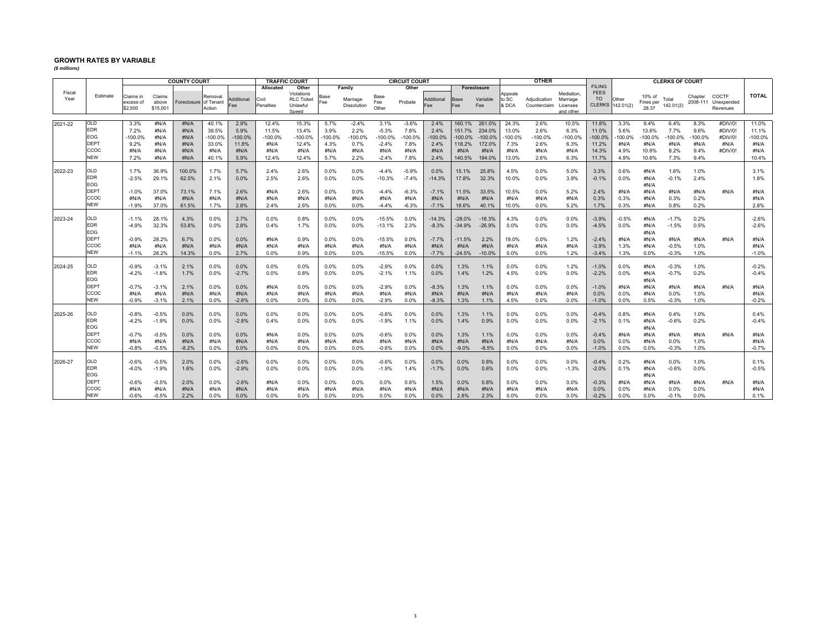## **GROWTH RATES BY VARIABLE**

*(\$ millions)*

|                |                    |                                   |                             | <b>COUNTY COURT</b>   |                   |                   |                    | <b>TRAFFIC COURT</b><br><b>CIRCUIT COURT</b>         |             |                         | <b>OTHER</b>         |         |                   |             | <b>CLERKS OF COURT</b> |                           |                              |                                                |                   |                           |                              |                    |           |                                          |              |
|----------------|--------------------|-----------------------------------|-----------------------------|-----------------------|-------------------|-------------------|--------------------|------------------------------------------------------|-------------|-------------------------|----------------------|---------|-------------------|-------------|------------------------|---------------------------|------------------------------|------------------------------------------------|-------------------|---------------------------|------------------------------|--------------------|-----------|------------------------------------------|--------------|
|                |                    |                                   |                             |                       |                   |                   | Allocated          | Other                                                |             | Family                  |                      | Other   |                   |             | Foreclosure            |                           |                              |                                                | <b>FILING</b>     |                           |                              |                    |           |                                          |              |
| Fiscal<br>Year | Estimate           | Claims in<br>excess of<br>\$2,500 | Claims<br>above<br>\$15,001 | Foreclosure of Tenant | Removal<br>Action | Additional<br>Fee | Civil<br>Penalties | Violations<br><b>RLC Ticket</b><br>Unlawful<br>Speed | Base<br>Fee | Marriage<br>Dissolution | Base<br>Fee<br>Other | Probate | Additional<br>Fee | Base<br>Fee | Variable<br>Fee        | Appeals<br>to SC<br>& DCA | Adiudication<br>Counterclaim | Mediation<br>Marriage<br>Licenses<br>and other | <b>FEES</b><br>TO | Other<br>CLERKS 142.01(2) | 10% of<br>Fines per<br>28.37 | Total<br>142.01(2) | Chapter   | COCTF<br>2008-111 Unexpended<br>Revenues | <b>TOTAL</b> |
|                |                    |                                   |                             |                       |                   |                   |                    |                                                      |             |                         |                      |         |                   |             |                        |                           |                              |                                                |                   |                           |                              |                    |           |                                          |              |
| 2021-22        | <b>OLD</b>         | 3.3%                              | #N/A                        | #N/A                  | 40.1%             | 2.9%              | 12.4%              | 15.3%                                                | 5.7%        | $-2.4%$                 | 3.1%                 | $-3.6%$ | 2.4%              | 160.1%      | 261.0%                 | 24.3%                     | 2.6%                         | 10.5%                                          | 11.8%             | 3.3%                      | 9.4%                         | 6.4%               | 8.3%      | #DIV/0!                                  | 11.0%        |
|                | <b>EDR</b>         | 7.2%                              | #N/A                        | #N/A                  | 39.5%             | 5.9%              | 11.5%              | 13.4%                                                | 3.9%        | 2.2%                    | $-5.3%$              | 7.8%    | 2.4%              | 151.7%      | 234.0%                 | 13.0%                     | 2.6%                         | 6.3%                                           | 11.0%             | 5.6%                      | 13.6%                        | 7.7%               | 9.6%      | #DIV/0!                                  | 11.1%        |
|                | EOG                | -100.0%                           | #N/A                        | #N/A                  | $-100.0%$         | $-100.0%$         | $-100.0%$          | $-100.0%$                                            | $-100.0\%$  | $-100.0%$               | $-100.0%$            | -100.0% | $-100.0%$         | $-100.0%$   | $-100.0%$              | $-100.0%$                 | $-100.0%$                    | $-100.0%$                                      | $-100.0%$         | -100.0%                   | $-100.0%$                    | $-100.0%$          | $-100.0%$ | #DIV/0!                                  | $-100.0%$    |
|                | <b>DEPT</b>        | 9.2%                              | #N/A                        | #N/A                  | 33.0%             | 11.8%             | #N/A               | 12.4%                                                | 4.3%        | 0.7%                    | $-2.4%$              | 7.8%    | 2.4%              | 118.2%      | 172.0%                 | 7.3%                      | 2.6%                         | 6.3%                                           | 11.2%             | #N/A                      | #N/A                         | #N/A               | #N/A      | #N/A                                     | #N/A         |
|                | CCOO               | #N/A                              | #N/A                        | #N/A                  | #N/A              | #N/A              | #N/A               | #N/A                                                 | #N/A        | #N/A                    | #N/A                 | #N/A    | #N/A              | #N/A        | #N/A                   | #N/A                      | #N/A                         | #N/A                                           | 14.3%             | 4.9%                      | 10.6%                        | 8.2%               | 9.4%      | #DIV/0!                                  | #N/A         |
|                | <b>NEW</b>         | 7.2%                              | #N/A                        | #N/A                  | 40.1%             | 5.9%              | 12.4%              | 12.4%                                                | 5.7%        | 2.2%                    | $-2.4%$              | 7.8%    | 2.4%              | 140.5%      | 194.0%                 | 13.0%                     | 2.6%                         | 6.3%                                           | 11.7%             | 4.9%                      | 10.6%                        | 7.3%               | 9.4%      |                                          | 10.4%        |
|                |                    |                                   |                             |                       |                   |                   |                    |                                                      |             |                         |                      |         |                   |             |                        |                           |                              |                                                |                   |                           |                              |                    |           |                                          |              |
| 2022-23        | <b>OLD</b>         | 1.7%                              | 36.9%                       | 100.0%                | 1.7%              | 5.7%              | 2.4%               | 2.6%                                                 | 0.0%        | 0.0%                    | $-4.4%$              | $-5.9%$ | 0.0%              | 15.1%       | 25.8%                  | 4.5%                      | 0.0%                         | 5.0%                                           | 3.3%              | 0.6%                      | #N/A                         | 1.6%               | 1.0%      |                                          | 3.1%         |
|                | <b>EDR</b><br>EOG  | $-2.5%$                           | 29.1%                       | 62.5%                 | 2.1%              | 0.0%              | 2.5%               | 2.6%                                                 | 0.0%        | 0.0%                    | $-10.3%$             | $-7.4%$ | $-14.3%$          | 17.8%       | 32.3%                  | 10.0%                     | 0.0%                         | 3.9%                                           | $-0.1%$           | 0.0%                      | #N/A                         | $-0.1%$            | 2.4%      |                                          | 1.8%         |
|                | <b>DEPT</b>        | $-1.0%$                           | 37.0%                       | 73.1%                 | 7.1%              | 2.6%              | #N/A               | 2.6%                                                 | 0.0%        | 0.0%                    | $-4.4%$              | $-6.3%$ | $-7.1%$           | 11.5%       | 33.5%                  | 10.5%                     | 0.0%                         | 5.2%                                           |                   | #N/A                      | #N/A<br>#N/A                 | #N/A               | #N/A      | #N/A                                     | #N/A         |
|                | ccoc               | #N/A                              | #N/A                        | #N/A                  | #N/A              | #N/A              | #N/A               | #N/A                                                 | #N/A        | #N/A                    | #N/A                 | #N/A    | #N/A              | #N/A        | #N/A                   | #N/A                      | #N/A                         | #N/A                                           | 2.4%<br>0.3%      | 0.3%                      | #N/A                         | 0.3%               | 0.2%      |                                          | #N/A         |
|                | <b>NEW</b>         | $-1.9%$                           | 37.0%                       | 61.5%                 | 1.7%              | 2.8%              | 2.4%               | 2.6%                                                 | 0.0%        | 0.0%                    | $-4.4%$              | $-6.3%$ | $-7.1%$           | 18.6%       | 40.1%                  | 10.0%                     | 0.0%                         | 5.2%                                           | 1.7%              | 0.3%                      | #N/A                         | 0.8%               | 0.2%      |                                          | 2.8%         |
|                |                    |                                   |                             |                       |                   |                   |                    |                                                      |             |                         |                      |         |                   |             |                        |                           |                              |                                                |                   |                           |                              |                    |           |                                          |              |
| 2023-24        | <b>OLD</b>         | $-1.1%$                           | 28.1%                       | 4.3%                  | 0.0%              | 2.7%              | 0.0%               | 0.8%                                                 | 0.0%        | 0.0%                    | $-15.5%$             | 0.0%    | $-14.3%$          | $-28.0%$    | $-18.3%$               | 4.3%                      | 0.0%                         | 0.0%                                           | $-3.9%$           | $-0.5%$                   | #N/A                         | $-1.7%$            | 0.2%      |                                          | $-2.6%$      |
|                | <b>EDR</b>         | $-4.9%$                           | 32.3%                       | 53.8%                 | 0.0%              | 2.8%              | 0.4%               | 1.7%                                                 | $0.0\%$     | 0.0%                    | $-13.1%$             | 2.3%    | $-8.3%$           | $-34.9%$    | $-26.9%$               | 0.0%                      | 0.0%                         | $0.0\%$                                        | $-4.5%$           | 0.0%                      | #N/A                         | $-1.5%$            | 0.5%      |                                          | $-2.6%$      |
|                | EOG                |                                   |                             |                       |                   |                   |                    |                                                      |             |                         |                      |         |                   |             |                        |                           |                              |                                                |                   |                           | #N/A                         |                    |           |                                          |              |
|                | <b>DEPT</b>        | $-0.9%$                           | 28.2%                       | 6.7%                  | 0.0%              | 0.0%              | #N/A               | 0.9%                                                 | 0.0%        | 0.0%                    | $-15.5%$             | 0.0%    | $-7.7%$           | $-11.5%$    | 2.2%                   | 19.0%                     | 0.0%                         | 1.2%                                           | $-2.4%$           | #N/A                      | #N/A                         | #N/A               | #N/A      | #N/A                                     | #N/A         |
|                | ccoc               | #N/A                              | #N/A                        | #N/A                  | #N/A              | #N/A              | #N/A               | #N/A                                                 | #N/A        | #N/A                    | #N/A                 | #N/A    | #N/A              | #N/A        | #N/A                   | #N/A                      | #N/A                         | #N/A                                           | $-3.9%$           | 1.3%                      | #N/A                         | $-0.5%$            | 1.0%      |                                          | #N/A         |
|                | <b>NEW</b>         | $-1.1%$                           | 28.2%                       | 14.3%                 | 0.0%              | 2.7%              | 0.0%               | 0.9%                                                 | 0.0%        | 0.0%                    | $-15.5%$             | 0.0%    | $-7.7%$           | $-24.5%$    | $-10.0%$               | 0.0%                      | 0.0%                         | 1.2%                                           | $-3.4%$           | 1.3%                      | 0.0%                         | $-0.3%$            | 1.0%      |                                          | $-1.0%$      |
|                |                    |                                   |                             |                       |                   |                   |                    |                                                      |             |                         |                      |         |                   |             |                        |                           |                              |                                                |                   |                           |                              |                    |           |                                          |              |
| 2024-25        | OLD                | $-0.9%$                           | $-3.1%$                     | 2.1%                  | 0.0%              | 0.0%              | 0.0%               | 0.0%                                                 | 0.0%        | 0.0%                    | $-2.9%$              | 0.0%    | 0.0%              | 1.3%        | 1.1%                   | 0.0%                      | 0.0%                         | 1.2%                                           | $-1.0%$           | 0.0%                      | #N/A                         | $-0.3%$            | 1.0%      |                                          | $-0.2%$      |
|                | <b>EDR</b>         | $-4.2%$                           | $-1.8%$                     | 1.7%                  | 0.0%              | $-2.7%$           | 0.0%               | 0.8%                                                 | 0.0%        | 0.0%                    | $-2.1%$              | 1.1%    | 0.0%              | 1.4%        | 1.2%                   | 4.5%                      | 0.0%                         | 0.0%                                           | $-2.2%$           | 0.0%                      | #N/A                         | $-0.7%$            | 0.2%      |                                          | $-0.4%$      |
|                | EOG                |                                   |                             |                       |                   |                   |                    |                                                      |             |                         |                      |         |                   |             |                        |                           |                              |                                                |                   |                           | #N/A                         |                    |           |                                          |              |
|                | <b>DEPT</b>        | $-0.7%$                           | $-3.1%$                     | 2.1%                  | 0.0%              | 0.0%              | #N/A               | 0.0%                                                 | 0.0%        | 0.0%                    | $-2.9%$              | 0.0%    | $-8.3%$           | 1.3%        | 1.1%                   | 0.0%                      | 0.0%                         | 0.0%                                           | $-1.0%$           | #N/A                      | #N/A                         | #N/A               | #N/A      | #N/A                                     | #N/A         |
|                | CCOC<br><b>NEW</b> | #N/A                              | #N/A                        | #N/A                  | #N/A              | #N/A              | #N/A               | #N/A                                                 | #N/A        | #N/A                    | #N/A                 | #N/A    | #N/A              | #N/A        | #N/A                   | #N/A                      | #N/A                         | #N/A                                           | $0.0\%$           | 0.0%                      | #N/A                         | 0.0%               | 1.0%      |                                          | #N/A         |
|                |                    | $-0.9%$                           | $-3.1%$                     | 2.1%                  | 0.0%              | $-2.6%$           | 0.0%               | 0.0%                                                 | 0.0%        | 0.0%                    | $-2.9%$              | 0.0%    | $-8.3%$           | 1.3%        | 1.1%                   | 4.5%                      | 0.0%                         | 0.0%                                           | $-1.0%$           | 0.0%                      | 0.5%                         | $-0.3%$            | 1.0%      |                                          | $-0.2%$      |
| 2025-26        | <b>OLD</b>         | $-0.8%$                           | $-0.5%$                     | $0.0\%$               | 0.0%              | 0.0%              | 0.0%               | 0.0%                                                 | 0.0%        | 0.0%                    | $-0.6%$              | 0.0%    | 0.0%              | 1.3%        | 1.1%                   | 0.0%                      | 0.0%                         | 0.0%                                           | $-0.4%$           | 0.8%                      | #N/A                         | 0.4%               | 1.0%      |                                          | 0.4%         |
|                | <b>EDR</b>         | $-4.2%$                           | $-1.9%$                     | 0.0%                  | 0.0%              | $-2.8%$           | 0.4%               | 0.0%                                                 | 0.0%        | 0.0%                    | $-1.9%$              | 1.1%    | 0.0%              | 1.4%        | 0.9%                   | 0.0%                      | 0.0%                         | 0.0%                                           | $-2.1%$           | 0.1%                      | #N/A                         | $-0.6%$            | 0.2%      |                                          | $-0.4%$      |
|                | EOG                |                                   |                             |                       |                   |                   |                    |                                                      |             |                         |                      |         |                   |             |                        |                           |                              |                                                |                   |                           | #N/A                         |                    |           |                                          |              |
|                | <b>DEPT</b>        | $-0.7%$                           | $-0.5%$                     | 0.0%                  | 0.0%              | 0.0%              | #N/A               | 0.0%                                                 | 0.0%        | 0.0%                    | $-0.6%$              | 0.0%    | 0.0%              | 1.3%        | 1.1%                   | 0.0%                      | 0.0%                         | $0.0\%$                                        | $-0.4%$           | #N/A                      | #N/A                         | #N/A               | #N/A      | #N/A                                     | #N/A         |
|                | ccoc               | #N/A                              | #N/A                        | #N/A                  | #N/A              | #N/A              | #N/A               | #N/A                                                 | #N/A        | #N/A                    | #N/A                 | #N/A    | #N/A              | #N/A        | #N/A                   | #N/A                      | #N/A                         | #N/A                                           | 0.0%              | 0.0%                      | #N/A                         | 0.0%               | 1.0%      |                                          | #N/A         |
|                | <b>NEW</b>         | $-0.8%$                           | $-0.5%$                     | $-8.2%$               | 0.0%              | 0.0%              | 0.0%               | 0.0%                                                 | 0.0%        | 0.0%                    | $-0.6%$              | 0.0%    | 0.0%              | $-9.0%$     | $-8.5%$                | 0.0%                      | 0.0%                         | 0.0%                                           | $-1.0%$           | 0.0%                      | 0.0%                         | $-0.3%$            | 1.0%      |                                          | $-0.7%$      |
|                |                    |                                   |                             |                       |                   |                   |                    |                                                      |             |                         |                      |         |                   |             |                        |                           |                              |                                                |                   |                           |                              |                    |           |                                          |              |
| 2026-27        | <b>OLD</b>         | $-0.6%$                           | $-0.5%$                     | 2.0%                  | 0.0%              | $-2.6%$           | 0.0%               | 0.0%                                                 | 0.0%        | 0.0%                    | $-0.6%$              | 0.0%    | 0.0%              | 0.0%        | 0.8%                   | 0.0%                      | 0.0%                         | 0.0%                                           | $-0.4%$           | 0.2%                      | #N/A                         | 0.0%               | 1.0%      |                                          | 0.1%         |
|                | <b>EDR</b>         | $-4.0%$                           | $-1.9%$                     | 1.6%                  | 0.0%              | $-2.9%$           | 0.0%               | 0.0%                                                 | 0.0%        | 0.0%                    | $-1.9%$              | 1.4%    | $-1.7%$           | 0.0%        | 0.6%                   | 0.0%                      | 0.0%                         | $-1.3%$                                        | $-2.0%$           | 0.1%                      | #N/A                         | $-0.6%$            | 0.0%      |                                          | $-0.5%$      |
|                | EOG                |                                   |                             |                       |                   |                   |                    |                                                      |             |                         |                      |         |                   |             |                        |                           |                              |                                                |                   |                           | #N/A                         |                    |           |                                          |              |
|                | <b>DEPT</b>        | $-0.6%$                           | $-0.5%$                     | 2.0%                  | 0.0%              | $-2.6%$           | #N/A               | 0.0%                                                 | 0.0%        | 0.0%                    | 0.0%                 | 0.6%    | 1.5%              | 0.0%        | 0.8%                   | 0.0%                      | 0.0%                         | $0.0\%$                                        | $-0.3%$           | #N/A                      | #N/A                         | #N/A               | #N/A      | #N/A                                     | #N/A         |
|                | CCOC               | #N/A                              | #N/A                        | #N/A                  | #N/A              | #N/A              | #N/A               | #N/A                                                 | #N/A        | #N/A                    | #N/A                 | #N/A    | #N/A              | #N/A        | #N/A                   | #N/A                      | #N/A                         | #N/A                                           | 0.0%              | 0.0%                      | #N/A                         | 0.0%               | 0.0%      |                                          | #N/A         |
|                | <b>NEW</b>         | $-0.6%$                           | $-0.5%$                     | 2.2%                  | 0.0%              | 0.0%              | 0.0%               | 0.0%                                                 | 0.0%        | 0.0%                    | 0.0%                 | 0.0%    | $0.0\%$           | 2.8%        | 2.3%                   | 0.0%                      | 0.0%                         | 0.0%                                           | $-0.2%$           | 0.0%                      | 0.0%                         | $-0.1%$            | 0.0%      |                                          | 0.1%         |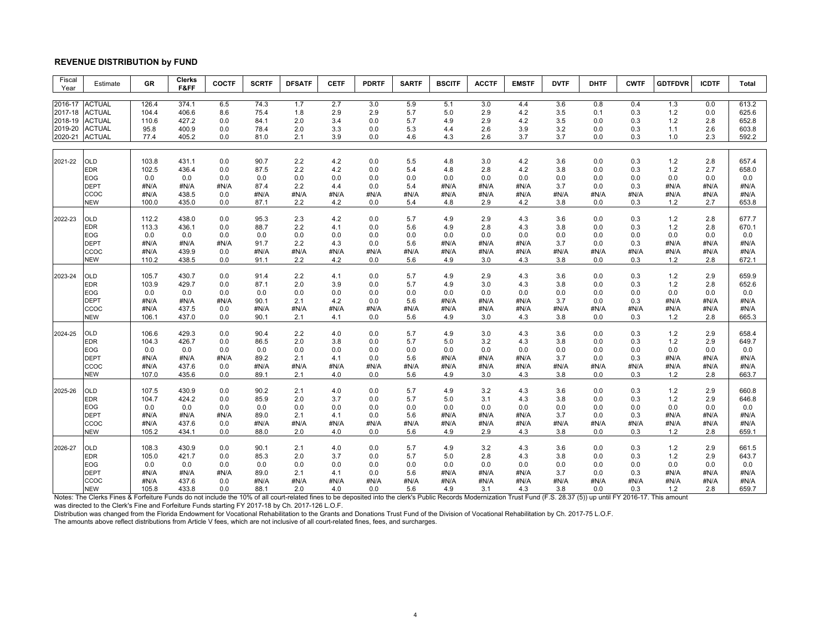## **REVENUE DISTRIBUTION by FUND**

| Fiscal<br>Year     | Estimate                       | GR           | <b>Clerks</b><br>F&FF | <b>COCTF</b> | <b>SCRTF</b> | <b>DFSATF</b> | <b>CETF</b> | <b>PDRTF</b> | <b>SARTF</b> | <b>BSCITF</b> | <b>ACCTF</b> | <b>EMSTF</b> | <b>DVTF</b> | <b>DHTF</b> | <b>CWTF</b> | <b>GDTFDVR</b> | <b>ICDTF</b> | Total          |
|--------------------|--------------------------------|--------------|-----------------------|--------------|--------------|---------------|-------------|--------------|--------------|---------------|--------------|--------------|-------------|-------------|-------------|----------------|--------------|----------------|
|                    |                                |              |                       |              |              |               |             |              |              |               |              |              |             |             |             |                |              |                |
| 2016-17            | <b>ACTUAL</b>                  | 126.4        | 374.1                 | 6.5          | 74.3         | 1.7           | 2.7         | 3.0          | 5.9          | 5.1           | 3.0          | 4.4          | 3.6         | 0.8         | 0.4         | 1.3            | 0.0          | 613.2          |
| 2017-18            | <b>ACTUAL</b>                  | 104.4        | 406.6                 | 8.6          | 75.4         | 1.8           | 2.9         | 2.9          | 5.7          | 5.0           | 2.9          | 4.2          | 3.5         | 0.1         | 0.3         | $1.2$          | 0.0          | 625.6          |
| 2018-19<br>2019-20 | <b>ACTUAL</b><br><b>ACTUAL</b> | 110.6        | 427.2<br>400.9        | 0.0          | 84.1         | 2.0           | 3.4         | 0.0<br>0.0   | 5.7          | 4.9           | 2.9          | 4.2          | 3.5         | 0.0         | 0.3<br>0.3  | $1.2$          | 2.8<br>2.6   | 652.8<br>603.8 |
| 2020-21            | <b>ACTUAL</b>                  | 95.8<br>77.4 | 405.2                 | 0.0<br>0.0   | 78.4<br>81.0 | 2.0<br>2.1    | 3.3<br>3.9  | 0.0          | 5.3<br>4.6   | 4.4<br>4.3    | 2.6<br>2.6   | 3.9<br>3.7   | 3.2<br>3.7  | 0.0<br>0.0  | 0.3         | 1.1<br>1.0     | 2.3          | 592.2          |
|                    |                                |              |                       |              |              |               |             |              |              |               |              |              |             |             |             |                |              |                |
| 2021-22            | <b>OLD</b>                     | 103.8        | 431.1                 | 0.0          | 90.7         | 2.2           | 4.2         | 0.0          | 5.5          | 4.8           | 3.0          | 4.2          | 3.6         | 0.0         | 0.3         | 1.2            | 2.8          | 657.4          |
|                    | <b>EDR</b>                     | 102.5        | 436.4                 | 0.0          | 87.5         | 2.2           | 4.2         | 0.0          | 5.4          | 4.8           | 2.8          | 4.2          | 3.8         | 0.0         | 0.3         | 1.2            | 2.7          | 658.0          |
|                    | <b>EOG</b>                     | 0.0          | 0.0                   | 0.0          | 0.0          | 0.0           | 0.0         | 0.0          | 0.0          | 0.0           | 0.0          | 0.0          | 0.0         | 0.0         | 0.0         | 0.0            | 0.0          | 0.0            |
|                    | <b>DEPT</b>                    | #N/A         | #N/A                  | #N/A         | 87.4         | 2.2           | 4.4         | 0.0          | 5.4          | #N/A          | #N/A         | #N/A         | 3.7         | 0.0         | 0.3         | #N/A           | #N/A         | #N/A           |
|                    | ccoc                           | #N/A         | 438.5                 | 0.0          | #N/A         | #N/A          | #N/A        | #N/A         | #N/A         | #N/A          | #N/A         | #N/A         | #N/A        | #N/A        | #N/A        | #N/A           | #N/A         | #N/A           |
|                    | NEW                            | 100.0        | 435.0                 | 0.0          | 87.1         | 2.2           | 4.2         | 0.0          | 5.4          | 4.8           | 2.9          | 4.2          | 3.8         | 0.0         | 0.3         | 1.2            | 2.7          | 653.8          |
|                    |                                |              |                       |              |              |               |             |              |              |               |              |              |             |             |             |                |              |                |
| 2022-23            | OLD                            | 112.2        | 438.0                 | 0.0          | 95.3         | 2.3           | 4.2         | 0.0          | 5.7          | 4.9           | 2.9          | 4.3          | 3.6         | 0.0         | 0.3         | $1.2$          | 2.8          | 677.7          |
|                    | <b>EDR</b>                     | 113.3        | 436.1                 | 0.0          | 88.7         | 2.2           | 4.1         | 0.0          | 5.6          | 4.9           | 2.8          | 4.3          | 3.8         | 0.0         | 0.3         | 1.2            | 2.8          | 670.1          |
|                    | EOG                            | 0.0          | 0.0                   | 0.0          | 0.0          | 0.0           | 0.0         | 0.0          | 0.0          | 0.0           | 0.0          | 0.0          | 0.0         | 0.0         | 0.0         | 0.0            | 0.0          | 0.0            |
|                    | <b>DEPT</b><br>ccoc            | #N/A<br>#N/A | #N/A<br>439.9         | #N/A<br>0.0  | 91.7<br>#N/A | 2.2<br>#N/A   | 4.3<br>#N/A | 0.0<br>#N/A  | 5.6          | #N/A<br>#N/A  | #N/A         | #N/A         | 3.7         | 0.0         | 0.3         | #N/A<br>#N/A   | #N/A<br>#N/A | #N/A<br>#N/A   |
|                    | <b>NEW</b>                     | 110.2        | 438.5                 | 0.0          | 91.1         | 2.2           | 4.2         | 0.0          | #N/A<br>5.6  | 4.9           | #N/A<br>3.0  | #N/A         | #N/A<br>3.8 | #N/A<br>0.0 | #N/A<br>0.3 | 1.2            | 2.8          | 672.1          |
|                    |                                |              |                       |              |              |               |             |              |              |               |              | 4.3          |             |             |             |                |              |                |
| 2023-24            | <b>OLD</b>                     | 105.7        | 430.7                 | 0.0          | 91.4         | 2.2           | 4.1         | 0.0          | 5.7          | 4.9           | 2.9          | 4.3          | 3.6         | 0.0         | 0.3         | 1.2            | 2.9          | 659.9          |
|                    | <b>EDR</b>                     | 103.9        | 429.7                 | 0.0          | 87.1         | 2.0           | 3.9         | 0.0          | 5.7          | 4.9           | 3.0          | 4.3          | 3.8         | 0.0         | 0.3         | 1.2            | 2.8          | 652.6          |
|                    | EOG                            | 0.0          | 0.0                   | 0.0          | 0.0          | 0.0           | 0.0         | 0.0          | 0.0          | 0.0           | 0.0          | 0.0          | 0.0         | 0.0         | 0.0         | 0.0            | 0.0          | 0.0            |
|                    | <b>DEPT</b>                    | #N/A         | #N/A                  | #N/A         | 90.1         | 2.1           | 4.2         | 0.0          | 5.6          | #N/A          | #N/A         | #N/A         | 3.7         | 0.0         | 0.3         | #N/A           | #N/A         | #N/A           |
|                    | CCOC                           | #N/A         | 437.5                 | 0.0          | #N/A         | #N/A          | #N/A        | #N/A         | #N/A         | #N/A          | #N/A         | #N/A         | #N/A        | #N/A        | #N/A        | #N/A           | #N/A         | #N/A           |
|                    | <b>NEW</b>                     | 106.1        | 437.0                 | 0.0          | 90.1         | 2.1           | 4.1         | 0.0          | 5.6          | 4.9           | 3.0          | 4.3          | 3.8         | 0.0         | 0.3         | 1.2            | 2.8          | 665.3          |
|                    |                                |              |                       |              |              |               |             |              |              |               |              |              |             |             |             |                |              |                |
| 2024-25            | <b>OLD</b>                     | 106.6        | 429.3                 | 0.0          | 90.4         | 2.2           | 4.0         | 0.0          | 5.7          | 4.9           | 3.0          | 4.3          | 3.6         | 0.0         | 0.3         | 1.2            | 2.9          | 658.4          |
|                    | <b>EDR</b>                     | 104.3        | 426.7                 | 0.0          | 86.5         | 2.0           | 3.8         | 0.0          | 5.7          | 5.0           | 3.2          | 4.3          | 3.8         | 0.0         | 0.3         | 1.2            | 2.9          | 649.7          |
|                    | EOG                            | 0.0          | 0.0                   | 0.0          | 0.0          | 0.0           | 0.0         | 0.0          | 0.0          | 0.0           | 0.0          | 0.0          | 0.0         | 0.0         | 0.0         | 0.0            | 0.0          | 0.0            |
|                    | <b>DEPT</b>                    | #N/A         | #N/A                  | #N/A         | 89.2         | 2.1           | 4.1         | 0.0          | 5.6          | #N/A          | #N/A         | #N/A         | 3.7         | 0.0         | 0.3         | #N/A           | #N/A         | #N/A           |
|                    | ccoc                           | #N/A         | 437.6                 | 0.0          | #N/A         | #N/A          | #N/A        | #N/A         | #N/A         | #N/A          | #N/A         | #N/A         | #N/A        | #N/A        | #N/A        | #N/A           | #N/A         | #N/A           |
|                    | <b>NEW</b>                     | 107.0        | 435.6                 | 0.0          | 89.1         | 2.1           | 4.0         | 0.0          | 5.6          | 4.9           | 3.0          | 4.3          | 3.8         | 0.0         | 0.3         | 1.2            | 2.8          | 663.7          |
| 2025-26            | <b>OLD</b>                     | 107.5        | 430.9                 | 0.0          | 90.2         | 2.1           | 4.0         | 0.0          | 5.7          | 4.9           | 3.2          | 4.3          | 3.6         | 0.0         | 0.3         | 1.2            | 2.9          | 660.8          |
|                    | <b>EDR</b>                     | 104.7        | 424.2                 | 0.0          | 85.9         | 2.0           | 3.7         | 0.0          | 5.7          | 5.0           | 3.1          | 4.3          | 3.8         | 0.0         | 0.3         | 1.2            | 2.9          | 646.8          |
|                    | EOG                            | 0.0          | 0.0                   | 0.0          | 0.0          | 0.0           | 0.0         | 0.0          | 0.0          | 0.0           | 0.0          | 0.0          | 0.0         | 0.0         | 0.0         | 0.0            | 0.0          | 0.0            |
|                    | <b>DEPT</b>                    | #N/A         | #N/A                  | #N/A         | 89.0         | 2.1           | 4.1         | 0.0          | 5.6          | #N/A          | #N/A         | #N/A         | 3.7         | 0.0         | 0.3         | #N/A           | #N/A         | #N/A           |
|                    | CCOC                           | #N/A         | 437.6                 | 0.0          | #N/A         | #N/A          | #N/A        | #N/A         | #N/A         | #N/A          | #N/A         | #N/A         | #N/A        | #N/A        | #N/A        | #N/A           | #N/A         | #N/A           |
|                    | <b>NEW</b>                     | 105.2        | 434.1                 | 0.0          | 88.0         | 2.0           | 4.0         | 0.0          | 5.6          | 4.9           | 2.9          | 4.3          | 3.8         | 0.0         | 0.3         | 1.2            | 2.8          | 659.1          |
|                    |                                |              |                       |              |              |               |             |              |              |               |              |              |             |             |             |                |              |                |
| 2026-27            | OLD                            | 108.3        | 430.9                 | 0.0          | 90.1         | 2.1           | 4.0         | 0.0          | 5.7          | 4.9           | 3.2          | 4.3          | 3.6         | 0.0         | 0.3         | 1.2            | 2.9          | 661.5          |
|                    | <b>EDR</b>                     | 105.0        | 421.7                 | 0.0          | 85.3         | 2.0           | 3.7         | 0.0          | 5.7          | 5.0           | 2.8          | 4.3          | 3.8         | 0.0         | 0.3         | 1.2            | 2.9          | 643.7          |
|                    | EOG                            | 0.0          | 0.0                   | 0.0          | 0.0          | 0.0           | 0.0         | 0.0          | 0.0          | 0.0           | 0.0          | 0.0          | 0.0         | 0.0         | 0.0         | 0.0            | 0.0          | 0.0            |
|                    | <b>DEPT</b>                    | #N/A         | #N/A                  | #N/A         | 89.0         | 2.1           | 4.1         | 0.0          | 5.6          | #N/A          | #N/A         | #N/A         | 3.7         | 0.0         | 0.3         | #N/A           | #N/A         | #N/A           |
|                    | ccoc                           | #N/A         | 437.6                 | 0.0          | #N/A         | #N/A          | #N/A        | #N/A         | #N/A         | #N/A          | #N/A         | #N/A         | #N/A        | #N/A        | #N/A        | #N/A           | #N/A         | #N/A           |
|                    | <b>NEW</b>                     | 105.8        | 433.8                 | 0.0          | 88.1         | 2.0           | 4.0         | 0.0          | 5.6          | 4.9           | 3.1          | 4.3          | 3.8         | 0.0         | 0.3         | 1.2            | 2.8          | 659.7          |

NEW 105.8 433.8 0.0 88.1 2.0 4.0 0.0 5.6 4.9 3.1 2.3 3.8 0.0 0.3 1.2 2.8 659.7<br>Notes: The Clerks Fines & Forfeiture Funds do not include the 10% of all court-related fines to be deposited into the clerk's Public Records Mo

The amounts above reflect distributions from Article V fees, which are not inclusive of all court-related fines, fees, and surcharges.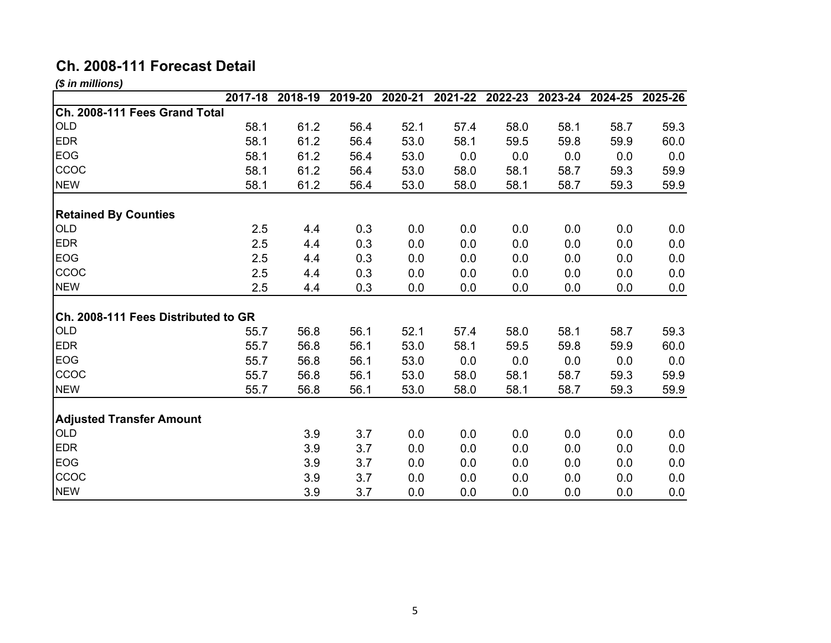# **Ch. 2008-111 Forecast Detail**

*(\$ in millions)*

|                                     | 2017-18 | 2018-19 | 2019-20 | 2020-21 | 2021-22 | 2022-23 | 2023-24 | 2024-25 | 2025-26 |
|-------------------------------------|---------|---------|---------|---------|---------|---------|---------|---------|---------|
| Ch. 2008-111 Fees Grand Total       |         |         |         |         |         |         |         |         |         |
| <b>OLD</b>                          | 58.1    | 61.2    | 56.4    | 52.1    | 57.4    | 58.0    | 58.1    | 58.7    | 59.3    |
| <b>EDR</b>                          | 58.1    | 61.2    | 56.4    | 53.0    | 58.1    | 59.5    | 59.8    | 59.9    | 60.0    |
| EOG                                 | 58.1    | 61.2    | 56.4    | 53.0    | 0.0     | 0.0     | 0.0     | 0.0     | 0.0     |
| CCOC                                | 58.1    | 61.2    | 56.4    | 53.0    | 58.0    | 58.1    | 58.7    | 59.3    | 59.9    |
| <b>NEW</b>                          | 58.1    | 61.2    | 56.4    | 53.0    | 58.0    | 58.1    | 58.7    | 59.3    | 59.9    |
| <b>Retained By Counties</b>         |         |         |         |         |         |         |         |         |         |
| <b>OLD</b>                          | 2.5     | 4.4     | 0.3     | 0.0     | 0.0     | 0.0     | 0.0     | 0.0     | 0.0     |
| <b>EDR</b>                          | 2.5     | 4.4     | 0.3     | 0.0     | 0.0     | 0.0     | 0.0     | 0.0     | 0.0     |
| <b>EOG</b>                          | 2.5     | 4.4     | 0.3     | 0.0     | 0.0     | 0.0     | 0.0     | 0.0     | 0.0     |
| CCOC                                | 2.5     | 4.4     | 0.3     | 0.0     | 0.0     | 0.0     | 0.0     | 0.0     | 0.0     |
| <b>NEW</b>                          | 2.5     | 4.4     | 0.3     | 0.0     | 0.0     | 0.0     | 0.0     | 0.0     | 0.0     |
| Ch. 2008-111 Fees Distributed to GR |         |         |         |         |         |         |         |         |         |
| <b>OLD</b>                          | 55.7    | 56.8    | 56.1    | 52.1    | 57.4    | 58.0    | 58.1    | 58.7    | 59.3    |
| <b>EDR</b>                          | 55.7    | 56.8    | 56.1    | 53.0    | 58.1    | 59.5    | 59.8    | 59.9    | 60.0    |
| <b>EOG</b>                          | 55.7    | 56.8    | 56.1    | 53.0    | 0.0     | 0.0     | 0.0     | 0.0     | 0.0     |
| CCOC                                | 55.7    | 56.8    | 56.1    | 53.0    | 58.0    | 58.1    | 58.7    | 59.3    | 59.9    |
| <b>NEW</b>                          | 55.7    | 56.8    | 56.1    | 53.0    | 58.0    | 58.1    | 58.7    | 59.3    | 59.9    |
| <b>Adjusted Transfer Amount</b>     |         |         |         |         |         |         |         |         |         |
| <b>OLD</b>                          |         | 3.9     | 3.7     | 0.0     | 0.0     | 0.0     | 0.0     | 0.0     | 0.0     |
| <b>EDR</b>                          |         | 3.9     | 3.7     | 0.0     | 0.0     | 0.0     | 0.0     | 0.0     | 0.0     |
| <b>EOG</b>                          |         | 3.9     | 3.7     | 0.0     | 0.0     | 0.0     | 0.0     | 0.0     | 0.0     |
| CCOC                                |         | 3.9     | 3.7     | 0.0     | 0.0     | 0.0     | 0.0     | 0.0     | 0.0     |
| <b>NEW</b>                          |         | 3.9     | 3.7     | 0.0     | 0.0     | 0.0     | 0.0     | 0.0     | 0.0     |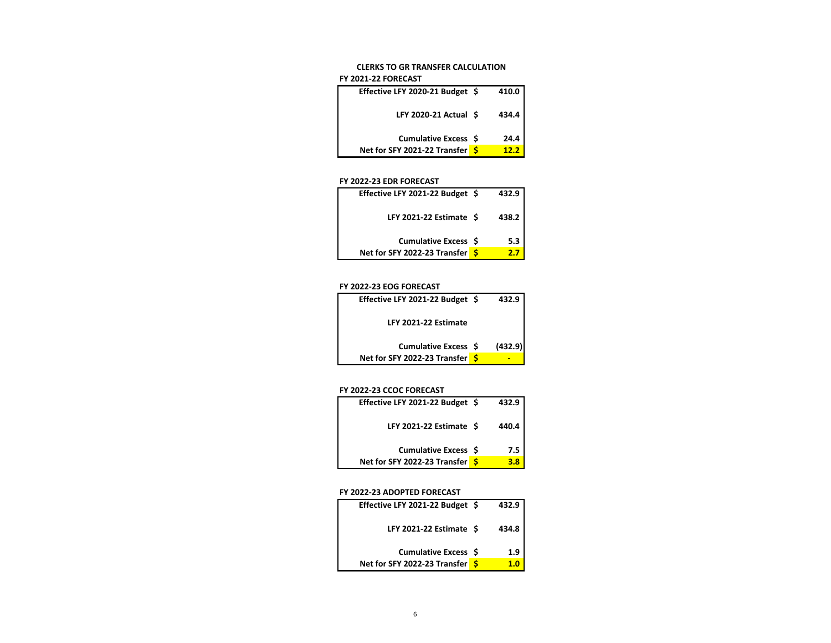#### **CLERKS TO GR TRANSFER CALCULATION**

#### **FY 2021‐22 FORECAST**

| Effective LFY 2020-21 Budget \$ | 410.0 |
|---------------------------------|-------|
| LFY 2020-21 Actual \$           | 434.4 |
| Cumulative Excess \$            | 24.4  |
| Net for SFY 2021-22 Transfer S  | 12.2  |

#### **FY 2022‐23 EDR FORECAST**

| Effective LFY 2021-22 Budget \$ |     | 432.9 |
|---------------------------------|-----|-------|
| LFY 2021-22 Estimate \$         |     | 438.2 |
| Cumulative Excess \$            |     | 5.3   |
| Net for SFY 2022-23 Transfer    | - 5 | 27    |

#### **FY 2022‐23 EOG FORECAST**

| Effective LFY 2021-22 Budget \$ | 432.9   |
|---------------------------------|---------|
| LFY 2021-22 Estimate            |         |
| Cumulative Excess \$            | (432.9) |
| Net for SFY 2022-23 Transfer S  |         |

#### **FY 2022‐23 CCOC FORECAST**

| Effective LFY 2021-22 Budget \$ | 432.9 |
|---------------------------------|-------|
| LFY 2021-22 Estimate \$         | 440.4 |
| <b>Cumulative Excess \$</b>     | 7.5   |
| Net for SFY 2022-23 Transfer \$ | 3.8   |

#### **FY 2022‐23 ADOPTED FORECAST**

| Effective LFY 2021-22 Budget \$ | 432.9 |
|---------------------------------|-------|
| LFY 2021-22 Estimate \$         | 434.8 |
| <b>Cumulative Excess \$</b>     | 1.9   |
| Net for SFY 2022-23 Transfer S  | 1 ก   |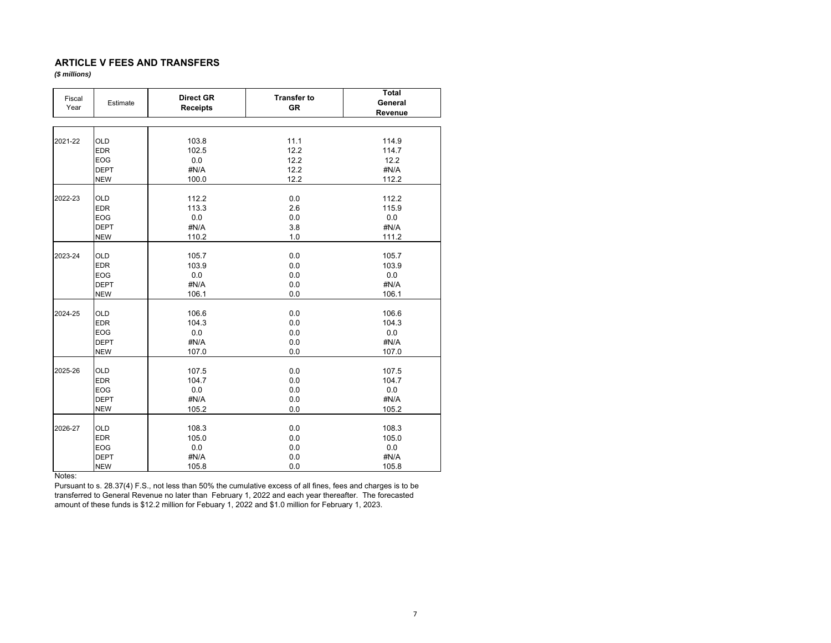## **ARTICLE V FEES AND TRANSFERS**

*(\$ millions)*

| Fiscal<br>Year | Estimate    | <b>Direct GR</b><br><b>Receipts</b> | <b>Transfer to</b><br><b>GR</b> | <b>Total</b><br>General<br>Revenue |
|----------------|-------------|-------------------------------------|---------------------------------|------------------------------------|
|                |             |                                     |                                 |                                    |
| 2021-22        | <b>OLD</b>  | 103.8                               | 11.1                            | 114.9                              |
|                | <b>EDR</b>  | 102.5                               | 12.2                            | 114.7                              |
|                | <b>EOG</b>  | 0.0                                 | 12.2                            | 12.2                               |
|                | <b>DEPT</b> | #N/A                                | 12.2                            | #N/A                               |
|                | <b>NEW</b>  | 100.0                               | 12.2                            | 112.2                              |
| 2022-23        | <b>OLD</b>  | 112.2                               | 0.0                             | 112.2                              |
|                | <b>EDR</b>  | 113.3                               | 2.6                             | 115.9                              |
|                | <b>EOG</b>  | 0.0                                 | 0.0                             | 0.0                                |
|                | <b>DEPT</b> | #N/A                                | 3.8                             | #N/A                               |
|                | <b>NEW</b>  | 110.2                               | 1.0                             | 111.2                              |
|                |             |                                     |                                 |                                    |
| 2023-24        | <b>OLD</b>  | 105.7                               | 0.0                             | 105.7                              |
|                | <b>EDR</b>  | 103.9                               | 0.0                             | 103.9                              |
|                | <b>EOG</b>  | 0.0                                 | 0.0                             | 0.0                                |
|                | <b>DEPT</b> | #N/A                                | 0.0                             | #N/A                               |
|                | <b>NEW</b>  | 106.1                               | 0.0                             | 106.1                              |
|                |             |                                     |                                 |                                    |
| 2024-25        | <b>OLD</b>  | 106.6                               | 0.0                             | 106.6                              |
|                | <b>EDR</b>  | 104.3                               | 0.0                             | 104.3                              |
|                | <b>EOG</b>  | 0.0                                 | 0.0                             | 0.0                                |
|                | <b>DEPT</b> | #N/A                                | 0.0                             | #N/A                               |
|                | <b>NEW</b>  | 107.0                               | 0.0                             | 107.0                              |
|                |             |                                     |                                 |                                    |
| 2025-26        | <b>OLD</b>  | 107.5                               | 0.0                             | 107.5                              |
|                | <b>EDR</b>  | 104.7                               | 0.0                             | 104.7                              |
|                | <b>EOG</b>  | 0.0                                 | 0.0                             | 0.0                                |
|                | <b>DEPT</b> | #N/A                                | 0.0                             | #N/A                               |
|                | <b>NEW</b>  | 105.2                               | 0.0                             | 105.2                              |
| 2026-27        | <b>OLD</b>  | 108.3                               | 0.0                             | 108.3                              |
|                | <b>EDR</b>  | 105.0                               | 0.0                             | 105.0                              |
|                | <b>EOG</b>  | 0.0                                 |                                 | 0.0                                |
|                | <b>DEPT</b> | #N/A                                | 0.0<br>0.0                      | #N/A                               |
|                |             |                                     |                                 |                                    |
|                | <b>NEW</b>  | 105.8                               | 0.0                             | 105.8                              |

Notes:

 Pursuant to s. 28.37(4) F.S., not less than 50% the cumulative excess of all fines, fees and charges is to be transferred to General Revenue no later than February 1, 2022 and each year thereafter. The forecasted amount of these funds is \$12.2 million for Febuary 1, 2022 and \$1.0 million for February 1, 2023.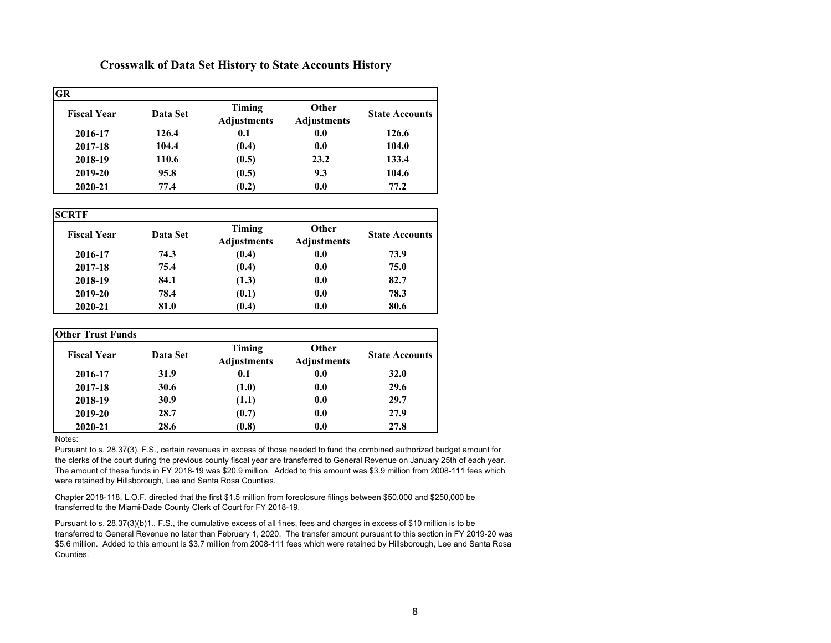# **Crosswalk of Data Set History to State Accounts History**

| <b>GR</b>          |          |                              |                                    |                       |  |  |  |  |  |
|--------------------|----------|------------------------------|------------------------------------|-----------------------|--|--|--|--|--|
| <b>Fiscal Year</b> | Data Set | Timing<br><b>Adjustments</b> | <b>Other</b><br><b>Adjustments</b> | <b>State Accounts</b> |  |  |  |  |  |
| 2016-17            | 126.4    | 0.1                          | 0.0                                | 126.6                 |  |  |  |  |  |
| 2017-18            | 104.4    | (0.4)                        | 0.0                                | 104.0                 |  |  |  |  |  |
| 2018-19            | 110.6    | (0.5)                        | 23.2                               | 133.4                 |  |  |  |  |  |
| 2019-20            | 95.8     | (0.5)                        | 9.3                                | 104.6                 |  |  |  |  |  |
| 2020-21            | 77.4     | (0.2)                        | 0.0                                | 77.2                  |  |  |  |  |  |

**SCRTF**

| əlaif              |          |                              |                             |                       |
|--------------------|----------|------------------------------|-----------------------------|-----------------------|
| <b>Fiscal Year</b> | Data Set | Timing<br><b>Adjustments</b> | Other<br><b>Adjustments</b> | <b>State Accounts</b> |
| 2016-17            | 74.3     | (0.4)                        | 0.0                         | 73.9                  |
| 2017-18            | 75.4     | (0.4)                        | 0.0                         | 75.0                  |
| 2018-19            | 84.1     | (1.3)                        | 0.0                         | 82.7                  |
| 2019-20            | 78.4     | (0.1)                        | 0.0                         | 78.3                  |
| 2020-21            | 81.0     | (0.4)                        | 0.0                         | 80.6                  |

| Other Trust Funds  |          |                              |                                    |                       |  |  |
|--------------------|----------|------------------------------|------------------------------------|-----------------------|--|--|
| <b>Fiscal Year</b> | Data Set | Timing<br><b>Adjustments</b> | <b>Other</b><br><b>Adjustments</b> | <b>State Accounts</b> |  |  |
| 2016-17            | 31.9     | 0.1                          | 0.0                                | <b>32.0</b>           |  |  |
| 2017-18            | 30.6     | (1.0)                        | 0.0                                | 29.6                  |  |  |
| 2018-19            | 30.9     | (1.1)                        | 0.0                                | 29.7                  |  |  |
| 2019-20            | 28.7     | (0.7)                        | 0.0                                | 27.9                  |  |  |
| 2020-21            | 28.6     | (0.8)                        | 0.0                                | 27.8                  |  |  |

## Notes:

Pursuant to s. 28.37(3), F.S., certain revenues in excess of those needed to fund the combined authorized budget amount for the clerks of the court during the previous county fiscal year are transferred to General Revenue on January 25th of each year. The amount of these funds in FY 2018-19 was \$20.9 million. Added to this amount was \$3.9 million from 2008-111 fees which were retained by Hillsborough, Lee and Santa Rosa Counties.

Chapter 2018-118, L.O.F. directed that the first \$1.5 million from foreclosure filings between \$50,000 and \$250,000 be transferred to the Miami-Dade County Clerk of Court for FY 2018-19.

Pursuant to s. 28.37(3)(b)1., F.S., the cumulative excess of all fines, fees and charges in excess of \$10 million is to be transferred to General Revenue no later than February 1, 2020. The transfer amount pursuant to this section in FY 2019-20 was \$5.6 million. Added to this amount is \$3.7 million from 2008-111 fees which were retained by Hillsborough, Lee and Santa Rosa Counties.